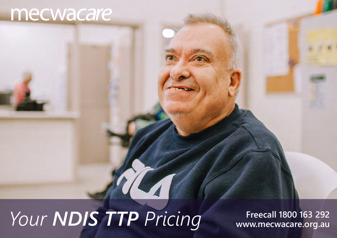## mecwacare

## *Your NDIS TTP Pricing* Freecall 1800 163 292

**www.mecwacare.org.au**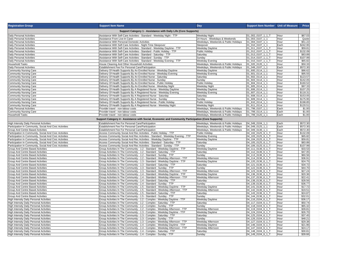| <b>Registration Group</b>                               | <b>Support Item Name</b>                                                                          | Day                                  | Support Item Number Unit of Measure |      | Price    |  |
|---------------------------------------------------------|---------------------------------------------------------------------------------------------------|--------------------------------------|-------------------------------------|------|----------|--|
|                                                         | Support Category 1 - Assistance with Daily Life (Core Supports)                                   |                                      |                                     |      |          |  |
| Daily Personal Activities                               | Assistance With Self-Care Activities - Standard - Weekday Night - TTP                             | Weekday Night                        | 01 002 0107 1 1 T                   | Hour | \$67.03  |  |
| Daily Personal Activities                               | Assistance From Live-In Carer                                                                     | 24 Hours - Weekdays & Weekends       | 01 003 0107 1 1                     | Hour | Quote    |  |
| Daily Personal Activities                               | Assistance With Personal Domestic Activities                                                      | Weekdays, Weekends & Public Holidays | 01 004 0107 1 1                     | Hour | \$51.22  |  |
| Daily Personal Activities                               | Assistance With Self-Care Activities - Night-Time Sleepover                                       | Sleepover                            | 01 010 0107 1 1                     | Each | \$242.95 |  |
| Daily Personal Activities                               | Assistance With Self-Care Activities - Standard - Weekday Daytime - TTP                           | Weekday Daytime                      | 01 011 0107 1 1 T                   | Hour | \$59.81  |  |
| Daily Personal Activities                               | Assistance With Self-Care Activities - Standard - Public Holiday - TTP                            | Public Holiday                       | 01 012 0107 1 1 T                   | Hour | \$132.09 |  |
| <b>Daily Personal Activities</b>                        | Assistance With Self-Care Activities - Standard - Saturday - TTP                                  | Saturday                             | 01 013 0107 1 1 T                   | Hour | \$83.89  |  |
| Daily Personal Activities                               | Assistance With Self-Care Activities - Standard - Sunday - TTP                                    | Sunday                               | 01 014_0107_1_1_T                   | Hour | \$107.99 |  |
| Daily Personal Activities                               | Assistance With Self-Care Activities - Standard - Weekday Evening - TTP                           | Weekday Evening                      | 01 015 0107 1 1 T                   | Hour | \$65.82  |  |
| <b>Household Tasks</b>                                  | House Cleaning And Other Household Activities                                                     | Weekdays, Weekends & Public Holidays | 01 020 0120 1 1                     | Hour | \$50.33  |  |
| Daily Personal Activities                               | Establishment Fee For Personal Care/Participation                                                 | Weekdays, Weekends & Public Holidays | 01 049 0107 1 1                     | Each | \$572.30 |  |
| Community Nursing Care                                  | Delivery Of Health Supports By An Enrolled Nurse - Weekday Daytime                                | <b>Weekdav Davtime</b>               | 01 600 0114 1 1                     | Hour | \$86.62  |  |
| <b>Community Nursing Care</b>                           | Delivery Of Health Supports By An Enrolled Nurse - Weekday Evening                                | Weekday Evening                      | 01 601 0114 1 1                     | Hour | \$95.55  |  |
| <b>Community Nursing Care</b>                           | Delivery Of Health Supports By An Enrolled Nurse - Saturday                                       | Saturday                             | 01 602 0114 1 1                     | Hour | \$123.57 |  |
| Community Nursing Care                                  | Delivery Of Health Supports By An Enrolled Nurse - Sunday                                         | Sunday                               | 01 603 0114 1 1                     | Hour | \$142.05 |  |
| Community Nursing Care                                  | Delivery Of Health Supports By An Enrolled Nurse - Public Holiday                                 | Public Holiday                       | 01 604 0114 1 1                     | Hour | \$160.52 |  |
| <b>Community Nursing Care</b>                           | Delivery Of Health Supports By An Enrolled Nurse - Weekday Night                                  | Weekday Night                        | 01 605 0114 1 1                     | Hour | \$97.33  |  |
| Community Nursing Care                                  | Delivery Of Health Supports By A Registered Nurse - Weekday Daytime                               | Weekday Daytime                      | 01 606 0114 1 1                     | Hour | \$107.25 |  |
| <b>Community Nursing Care</b>                           | Delivery Of Health Supports By A Registered Nurse - Weekday Evening                               | Weekday Evening                      | 01 607 0114 1 1                     | Hour | \$118.31 |  |
| <b>Community Nursing Care</b>                           | Delivery Of Health Supports By A Registered Nurse - Saturday                                      | Saturday                             | 01 608 0114 1 1                     | Hour | \$153.05 |  |
| Community Nursing Care                                  | Delivery Of Health Supports By A Registered Nurse - Sunday                                        | Sundav                               | 01 609 0114 1 1                     | Hour | \$175.95 |  |
|                                                         |                                                                                                   |                                      |                                     |      | \$198.85 |  |
| Community Nursing Care                                  | Delivery Of Health Supports By A Registered Nurse - Public Holiday                                | Public Holiday                       | 01 610 0114 1 1                     | Hour |          |  |
| <b>Community Nursing Care</b>                           | Delivery Of Health Supports By A Registered Nurse - Weekday Night                                 | Weekdav Night                        | 01 611 0114 1 1                     | Hour | \$120.51 |  |
| Daily Personal Activities                               | Provider travel - non-labour costs                                                                | Weekdays, Weekends & Public Holidays | 01_799_0107_1_1                     | Each | \$1.00   |  |
| <b>Community Nursing Care</b>                           | Provider travel - non-labour costs                                                                | Weekdavs, Weekends & Public Holidavs | 01 799 0114 1 1                     | Each | \$1.00   |  |
| <b>Household Tasks</b>                                  | Provider travel - non-labour costs                                                                | Weekdays, Weekends & Public Holidays | 01 799 0120 1 1                     | Each | \$1.00   |  |
|                                                         | Support Category 4 - Assistance with Social, Economic and Community Participation (Core Supports) |                                      |                                     |      |          |  |
| <b>High Intensity Daily Personal Activities</b>         | Establishment Fee For Personal Care/Participation                                                 | Weekdays, Weekends & Public Holidays | 04_049_0104_1_1                     | Each | \$572.30 |  |
| Participation In Community, Social And Civic Activities | Establishment Fee For Personal Care/Participation                                                 | Weekdays, Weekends & Public Holidays | 04 049 0125 1 1                     | Each | \$572.30 |  |
| Group And Centre Based Activities                       | Establishment Fee For Personal Care/Participation                                                 | Weekdays, Weekends & Public Holidays | 04 049 0136 1 1                     | Each | \$572.30 |  |
| Participation In Community, Social And Civic Activities | Access Community Social And Rec Activities - Public Holiday - TTP                                 | Public Holiday                       | 04 102 0125 6 1 T                   | Hour | \$132.09 |  |
| Participation In Community, Social And Civic Activities | Access Community Social And Rec Activities - Standard - Weekday Evening - TTP                     | Weekday Evening                      | 04_103_0125_6_1_T                   | Hour | \$65.82  |  |
| Participation In Community, Social And Civic Activities | Access Community Social And Rec Activities - Weekday Daytime - TTP                                | Weekday Daytime                      | 04 104 0125 6 1 T                   | Hour | \$59.81  |  |
| Participation In Community, Social And Civic Activities | Access Community Social And Rec Activities - Standard - Saturday - TTP                            | Saturday                             | 04_105_0125_6_1_T                   | Hour | \$83.89  |  |
| Participation In Community, Social And Civic Activities | Access Community Social And Rec Activities - Standard - Sunday - TTP                              | Sunday                               | 04 106 0125 6 1 T                   | Hour | \$107.99 |  |
| Group And Centre Based Activities                       | Group Activities In The Community - 1:2 - Standard - Weekday Daytime - TTP                        | Weekday Daytime                      | 04 111 0136 6 1 T                   | Hour | \$33.53  |  |
| <b>Group And Centre Based Activities</b>                | Group Activities In The Community - 1:2 - Standard - Saturday - TTP                               | Saturday                             | 04_112_0136_6_1_T                   | Hour | \$47.05  |  |
| Group And Centre Based Activities                       | Group Activities In The Community - 1:2 - Standard - Sunday - TTP                                 | Sunday                               | 04 113 0136 6 1 T                   | Hour | \$60.56  |  |
| Group And Centre Based Activities                       | Group Activities In The Community - 1:2 - Standard - Weekday Afternoon - TTP                      | Weekday Afternoon                    | 04 114 0136 6 1 T                   | Hour | \$36.91  |  |
| Group And Centre Based Activities                       | Group Activities In The Community - 1:3 - Standard - Weekday Daytime - TTP                        | Weekday Daytime                      | 04 120 0136 6 1 T                   | Hour | \$24.75  |  |
| Group And Centre Based Activities                       | Group Activities In The Community - 1:3 - Standard - Saturday - TTP                               | Saturday                             | 04_121_0136_6_1_T                   | Hour | \$34.72  |  |
| Group And Centre Based Activities                       | Group Activities In The Community - 1:3 - Standard - Sunday - TTP                                 | Sunday                               | 04 122 0136 6 1 T                   | Hour | \$44.70  |  |
| Group And Centre Based Activities                       | Group Activities In The Community - 1:3 - Standard - Weekday Afternoon - TTP                      | Weekday Afternoon                    | 04_123_0136_6_1_T                   | Hour | \$27.24  |  |
| Group And Centre Based Activities                       | Group Activities In The Community - 1:4 - Standard - Weekday Daytime - TTP                        | Weekday Daytime                      | 04 136 0136 6 1 T                   | Hour | \$20.36  |  |
| Group And Centre Based Activities                       | Group Activities In The Community - 1:4 - Standard - Weekday Afternoon - TTP                      | Weekday Afternoon                    | 04_137_0136_6_1_T                   | Hour | \$22.41  |  |
| Group And Centre Based Activities                       | Group Activities In The Community - 1:4 - Standard - Saturday - TTP                               | Saturday                             | 04_138_0136_6_1_T                   | Hour | \$28.56  |  |
| Group And Centre Based Activities                       | Group Activities In The Community - 1:4 - Standard - Sunday - TTP                                 | Sunday                               | 04 139 0136 6 1 T                   | Hour | \$36.77  |  |
|                                                         |                                                                                                   |                                      | 04 141 0136 6 1 T                   | Hour | \$17.72  |  |
| Group And Centre Based Activities                       | Group Activities In The Community - 1:5 - Standard - Weekday Daytime - TTP                        | Weekday Daytime                      |                                     |      |          |  |
| Group And Centre Based Activities                       | Group Activities In The Community - 1:5 - Standard - Weekday Afternoon - TTP                      | Weekday Afternoon                    | 04 142 0136 6 1 T                   | Hour | \$19.51  |  |
| <b>Group And Centre Based Activities</b>                | Group Activities In The Community - 1:5 - Standard - Saturday - TTP                               | Saturday                             | 04 143 0136 6 1                     | Hour | \$24.87  |  |
| Group And Centre Based Activities                       | Group Activities In The Community - 1:5 - Standard - Sunday - TTP                                 | Sunday                               | 04 144 0136 6 1 T                   | Hour | \$32.01  |  |
| High Intensity Daily Personal Activities                | Group Activities In The Community - 1:2 - Complex - Weekday Daytime - TTP                         | Weekday Daytime                      | 04_116_0104_6_1_T                   | Hour | \$36.17  |  |
| High Intensity Daily Personal Activities                | Group Activities In The Community - 1:2 - Complex - Saturday - TTP                                | Saturday                             | 04 117 0104 6 1 T                   | Hour | \$50.74  |  |
| High Intensity Daily Personal Activities                | Group Activities In The Community - 1:2 - Complex - Sunday - TTP                                  | Sunday                               | 04_118_0104_6_1_T                   | Hour | \$65.32  |  |
| High Intensity Daily Personal Activities                | Group Activities In The Community - 1:2 - Complex - Weekday Afternoon - TTP                       | Weekday Afternoon                    | 04 119 0104 6 1 T                   | Hour | \$39.81  |  |
| <b>High Intensity Daily Personal Activities</b>         | Group Activities In The Community - 1:3 - Complex - Weekday Daytime - TTP                         | Weekday Daytime                      | 04 124 0104 6 1 T                   | Hour | \$26.70  |  |
| High Intensity Daily Personal Activities                | Group Activities In The Community - 1:3 - Complex - Saturday - TTP                                | Saturday                             | 04 125 0104 6 1 T                   | Hour | \$37.45  |  |
| High Intensity Daily Personal Activities                | Group Activities In The Community - 1:3 - Complex - Sunday - TTP                                  | Sundav                               | 04_126_0104_6_1_T                   | Hour | \$48.21  |  |
| High Intensity Daily Personal Activities                | Group Activities In The Community - 1:3 - Complex - Weekday Afternoon - TTP                       | Weekday Afternoon                    | 04 127 0104 6 1 T                   | Hour | \$29.38  |  |
| High Intensity Daily Personal Activities                | Group Activities In The Community - 1:4 - Complex - Weekday Daytime - TTP                         | Weekday Daytime                      | 04 146 0104 6 1 T                   | Hour | \$21.96  |  |
| <b>High Intensity Daily Personal Activities</b>         | Group Activities In The Community - 1:4 - Complex - Weekday Afternoon - TTP                       | Weekday Afternoon                    | 04 147 0104 6 1 T                   | Hour | \$24.17  |  |
| High Intensity Daily Personal Activities                | Group Activities In The Community - 1:4 - Complex - Saturday - TTP                                | Saturdav                             | 04 148 0104 6 1 T                   | Hour | \$30.81  |  |
| High Intensity Daily Personal Activities                | Group Activities In The Community - 1:4 - Complex - Sunday - TTP                                  | Sunday                               | 04_149_0104_6_1_T                   | Hour | \$39.66  |  |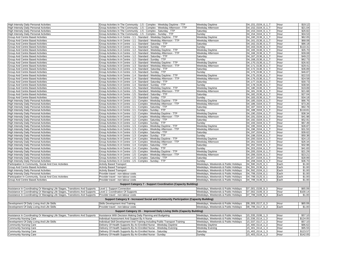| High Intensity Daily Personal Activities                                     | Group Activities In The Community - 1:5 - Complex - Weekday Daytime - TTP             | Weekday Daytime                      | 04_151_0104_6_1_T | Hour | \$19.1   |
|------------------------------------------------------------------------------|---------------------------------------------------------------------------------------|--------------------------------------|-------------------|------|----------|
|                                                                              |                                                                                       |                                      |                   |      | \$21.04  |
| <b>High Intensity Daily Personal Activities</b>                              | Group Activities In The Community - 1:5 - Complex - Weekday Afternoon - TTP           | Weekday Afternoon                    | 04 152 0104 6 1 T | Hour |          |
| High Intensity Daily Personal Activities                                     | Group Activities In The Community - 1:5 - Complex - Saturday - TTP                    | Saturday                             | 04 153 0104 6 1 T | Hour | \$26.82  |
| High Intensity Daily Personal Activities                                     | Group Activities In The Community - 1:5 - Complex - Sunday - TTP                      | Sunday                               | 04 154 0104 6 1   | Hour | \$34.5   |
| Group And Centre Based Activities                                            | Group Activities In A Centre - 1:1 - Standard - Weekday Daytime - TTP                 | Weekday Daytime                      | 04_160_0136_6_1_1 | Hour | \$62.0   |
| Group And Centre Based Activities                                            | Group Activities In A Centre - 1:1 - Standard - Weekday Afternoon - TTP               | Weekday Afternoon                    | 04 161 0136 6 1 T | Hour | \$68.08  |
| Group And Centre Based Activities                                            | Group Activities In A Centre - 1:1 - Standard - Saturday - TTP                        | Saturday                             | 04 162 0136 6 1 T | Hour | \$86.18  |
| Group And Centre Based Activities                                            | Group Activities In A Centre - 1:1 - Standard - Sunday - TTP                          | Sunday                               | 04 163 0136 6 1 T | Hour | \$110.31 |
| Group And Centre Based Activities                                            | Group Activities In A Centre - 1:2 - Standard - Weekday Davtime - TTP                 | Weekday Daytime                      | 04_165_0136_6_1_1 | Hour | \$35.70  |
| <b>Group And Centre Based Activities</b>                                     | Group Activities In A Centre - 1:2 - Standard - Weekday Afternoon - TTP               | Weekday Afternoon                    | 04_166_0136_6_1_1 | Hour | \$39.08  |
| Group And Centre Based Activities                                            | Group Activities In A Centre - 1:2 - Standard - Saturday - TTP                        | Saturday                             | 04_167_0136_6_1_T | Hour | \$49.22  |
|                                                                              |                                                                                       |                                      |                   |      |          |
| Group And Centre Based Activities                                            | Group Activities In A Centre - 1:2 - Standard - Sunday - TTP                          | Sunday                               | 04_168_0136_6_1_T | Hour | \$62.73  |
| Group And Centre Based Activities                                            | Group Activities In A Centre - 1:3 - Standard - Weekday Daytime - TTP                 | Weekday Daytime                      | 04_170_0136_6_1_1 | Hour | \$26.92  |
| <b>Group And Centre Based Activities</b>                                     | Group Activities In A Centre - 1:3 - Standard - Weekday Afternoon - TTP               | Weekday Afternoon                    | 04_171_0136_6_1_T | Hour | \$29.41  |
| <b>Group And Centre Based Activities</b>                                     | Group Activities In A Centre - 1:3 - Standard - Saturday - TTP                        | Saturday                             | 04_172_0136_6_1_T | Hour | \$36.89  |
| <b>Group And Centre Based Activities</b>                                     | Group Activities In A Centre - 1:3 - Standard - Sunday - TTP                          | Sunday                               | 04 173 0136 6 1 T | Hour | \$46.87  |
| Group And Centre Based Activities                                            | Group Activities In A Centre - 1:4 - Standard - Weekday Daytime - TTP                 | Weekday Daytime                      | 04_175_0136_6_1_1 | Hour | \$22.53  |
| Group And Centre Based Activities                                            | Group Activities In A Centre - 1:4 - Standard - Weekday Afternoon - TTP               | Weekday Afternoon                    | 04 176 0136 6 1   | Hour | \$24.58  |
| Group And Centre Based Activities                                            | Group Activities In A Centre - 1:4 - Standard - Saturday - TTP                        | Saturday                             | 04_177_0136_6_1_1 | Hour | \$30.73  |
| <b>Group And Centre Based Activities</b>                                     | Group Activities In A Centre - 1:4 - Standard - Sunday - TTP                          | Sunday                               | 04 178 0136 6 1 T | Hour | \$38.94  |
|                                                                              |                                                                                       |                                      |                   |      |          |
| Group And Centre Based Activities                                            | Group Activities In A Centre - 1:5 - Standard - Weekday Daytime - TTP                 | Weekday Daytime                      | 04 180 0136 6 1 T | Hour | \$19.89  |
| Group And Centre Based Activities                                            | Group Activities In A Centre - 1:5 - Standard - Weekday Afternoon - TTP               | Weekday Afternoon                    | 04 181 0136 6 1 1 | Hour | \$21.68  |
| Group And Centre Based Activities                                            | Group Activities In A Centre - 1:5 - Standard - Saturday - TTP                        | Saturday                             | 04 182 0136 6 1 T | Hour | \$27.04  |
| Group And Centre Based Activities                                            | Group Activities In A Centre - 1:5 - Standard - Sunday - TTP                          | Sunday                               | 04_183_0136_6_1_T | Hour | \$34.18  |
| High Intensity Daily Personal Activities                                     | Group Activities In A Centre - 1:1 - Complex - Weekday Daytime - TTP                  | Weekday Daytime                      | 04 185 0104 6 1 T | Hour | \$66.76  |
| High Intensity Daily Personal Activities                                     | Group Activities In A Centre - 1:1 - Complex - Weekday Afternoon - TTP                | Weekday Afternoon                    | 04_186_0104_6_1_T | Hour | \$73.26  |
| High Intensity Daily Personal Activities                                     | Group Activities In A Centre - 1:1 - Complex - Saturday - TTP                         | Saturday                             | 04 187 0104 6 1   | Hour | \$92.78  |
| High Intensity Daily Personal Activities                                     | Group Activities In A Centre - 1:1 - Complex - Sunday - TTP                           | Sunday                               | 04_188_0104_6_1_1 | Hour | \$118.8' |
| <b>High Intensity Daily Personal Activities</b>                              | Group Activities In A Centre - 1:2 - Complex - Weekday Daytime - TTP                  | Weekday Daytime                      | 04 190 0104 6 1 1 | Hour | \$38.34  |
|                                                                              | Group Activities In A Centre - 1:2 - Complex - Weekday Afternoon - TTP                |                                      | 04 191 0104 6 1 T | Hour | \$41.98  |
| High Intensity Daily Personal Activities                                     |                                                                                       | Weekday Afternoon                    |                   |      |          |
| High Intensity Daily Personal Activities                                     | Group Activities In A Centre - 1:2 - Complex - Saturday - TTP                         | Saturday                             | 04 192 0104 6 1   | Hour | \$52.91  |
| <b>High Intensity Daily Personal Activities</b>                              | Group Activities In A Centre - 1:2 - Complex - Sunday - TTP                           | Sunday                               | 04 193 0104 6 1 T | Hour | \$67.49  |
| High Intensity Daily Personal Activities                                     | Group Activities In A Centre - 1:3 - Complex - Weekday Daytime - TTP                  | Weekday Daytime                      | 04 195 0104 6 1 T | Hour | \$28.87  |
| <b>High Intensity Daily Personal Activities</b>                              | Group Activities In A Centre - 1:3 - Complex - Weekday Afternoon - TTP                | Weekday Afternoon                    | 04 196 0104 6 1 T | Hour | \$31.55  |
| <b>High Intensity Daily Personal Activities</b>                              | Group Activities In A Centre - 1:3 - Complex - Saturday - TTP                         | Saturday                             | 04 197 0104 6 1 T | Hour | \$39.62  |
| <b>High Intensity Daily Personal Activities</b>                              | Group Activities In A Centre - 1:3 - Complex - Sunday - TTP                           | Sunday                               | 04 198 0104 6 1   | Hour | \$50.38  |
| High Intensity Daily Personal Activities                                     | Group Activities In A Centre - 1:4 - Complex - Weekday Daytime - TTP                  | Weekday Daytime                      | 04_200_0104_6_1_T | Hour | \$24.1   |
| High Intensity Daily Personal Activities                                     | Group Activities In A Centre - 1:4 - Complex - Weekday Afternoon - TTP                | Weekday Afternoon                    | 04_201_0104_6_1_T | Hour | \$26.34  |
| High Intensity Daily Personal Activities                                     | Group Activities In A Centre - 1:4 - Complex - Saturday - TTP                         | Saturday                             | 04_202_0104_6_1_T | Hour | \$32.98  |
|                                                                              |                                                                                       |                                      |                   |      |          |
| High Intensity Daily Personal Activities                                     | Group Activities In A Centre - 1:4 - Complex - Sunday - TTP                           | Sunday                               | 04 203 0104 6 1 1 | Hour | \$41.83  |
| High Intensity Daily Personal Activities                                     | Group Activities In A Centre - 1:5 - Complex - Weekday Daytime - TTP                  | Weekday Daytime                      | 04_205_0104_6_1_1 | Hour | \$21.29  |
| High Intensity Daily Personal Activities                                     | Group Activities In A Centre - 1:5 - Complex - Weekday Afternoon - TTP                | Weekday Afternoon                    | 04_206_0104_6_1_1 | Hour | \$23.21  |
| High Intensity Daily Personal Activities                                     | Group Activities In A Centre - 1:5 - Complex - Saturday - TTP                         | Saturday                             | 04 207 0104 6 1 T | Hour | \$28.99  |
| High Intensity Daily Personal Activities                                     | Group Activities In A Centre - 1:5 - Complex - Sunday - TTP                           | Sunday                               | 04_208_0104_6_1_T | Hour | \$36.70  |
| Participation In Community, Social And Civic Activities                      | <b>Activity Based Transport</b>                                                       | Weekdays, Weekends & Public Holidays | 04 590 0125 6 1   | Each | \$1.00   |
| Group And Centre Based Activities                                            | <b>Activity Based Transport</b>                                                       | Weekdays, Weekends & Public Holidays | 04_591_0136_6_1   | Each | \$1.00   |
| High Intensity Daily Personal Activities                                     | Activity Based Transport                                                              | Weekdays, Weekends & Public Holidays | 04 592 0104 6 1   | Each | \$1.00   |
| High Intensity Daily Personal Activities                                     | Provider travel - non-labour costs                                                    | Neekdays, Weekends & Public Holidays | 04_799_0104 6 1   | Each | \$1.00   |
| Participation In Community, Social And Civic Activities                      | Provider travel - non-labour costs                                                    | Weekdays, Weekends & Public Holidays | 04 799 0125 6 1   | Each | \$1.00   |
| Group And Centre Based Activities                                            | Provider travel - non-labour costs                                                    | Weekdays, Weekends & Public Holidays | 04 799 0136 6 1   | Each | \$1.00   |
|                                                                              |                                                                                       |                                      |                   |      |          |
|                                                                              | <b>Support Category 7 - Support Coordination (Capacity Building)</b>                  |                                      |                   |      |          |
| Assistance In Coordinating Or Managing Life Stages, Transitions And Supports | Level 1: Support Connection                                                           | Weekdays, Weekends & Public Holidays | 07 001 0106 8 3   | Hour | \$65.09  |
|                                                                              | evel 2: Coordination Of Supports                                                      | Weekdays, Weekends & Public Holidays | 07 002 0106 8 3   | Hour | \$100.14 |
| Assistance In Coordinating Or Managing Life Stages, Transitions And Supports |                                                                                       |                                      |                   |      |          |
| Assistance In Coordinating Or Managing Life Stages, Transitions And Supports | Provider travel - non-labour costs                                                    | Weekdays, Weekends & Public Holidays | 07 799 0106 6 3   | Each | \$1.00   |
|                                                                              | Support Category 9 - Increased Social and Community Participation (Capacity Building) |                                      |                   |      |          |
| Development Of Daily Living And Life Skills                                  | Skills Development And Training                                                       | Weekdays, Weekends & Public Holidays | 09 009 0117 6 3   | Hour | \$65.09  |
| Development Of Daily Living And Life Skills                                  | Provider travel - non-labour costs                                                    | Weekdays, Weekends & Public Holidays | 09 799 0117 6 3   | Each | \$1.00   |
|                                                                              | Support Category 15 - Improved Daily Living Skills (Capacity Building)                |                                      |                   |      |          |
| Assistance In Coordinating Or Managing Life Stages, Transitions And Supports | Assistance With Decision Making Daily Planning and Budgeting                          | Weekdays, Weekends & Public Holidays | 15 035 0106 1 3   | Hour | \$57.1   |
| <b>Community Nursing Care</b>                                                | Individual Assessment And Support By A Nurse                                          | Weekdays, Weekends & Public Holidays | 15 036 0114 1 3   | Hour | \$124.05 |
|                                                                              |                                                                                       |                                      |                   |      |          |
| Development Of Daily Living And Life Skills                                  | ndividual Skill Development And Training Including Public Transport Training          | Weekdays, Weekends & Public Holidays | 15_037_0117_1_3   | Hour | \$57.10  |
| Community Nursing Care                                                       | Delivery Of Health Supports By An Enrolled Nurse - Weekday Daytime                    | Weekday Daytime                      | 15 400 0114 1 3   | Hour | \$86.62  |
| <b>Community Nursing Care</b>                                                | Delivery Of Health Supports By An Enrolled Nurse - Weekday Evening                    | Weekday Evening                      | 15 401 0114 1 3   | Hour | \$95.55  |
| Community Nursing Care                                                       | Delivery Of Health Supports By An Enrolled Nurse - Saturday                           | Saturday                             | 15 402 0114 1 3   | Hour | \$123.57 |
| <b>Community Nursing Care</b>                                                | Delivery Of Health Supports By An Enrolled Nurse - Sunday                             | Sunday                               | 15 403 0114 1 3   | Hour | \$142.05 |